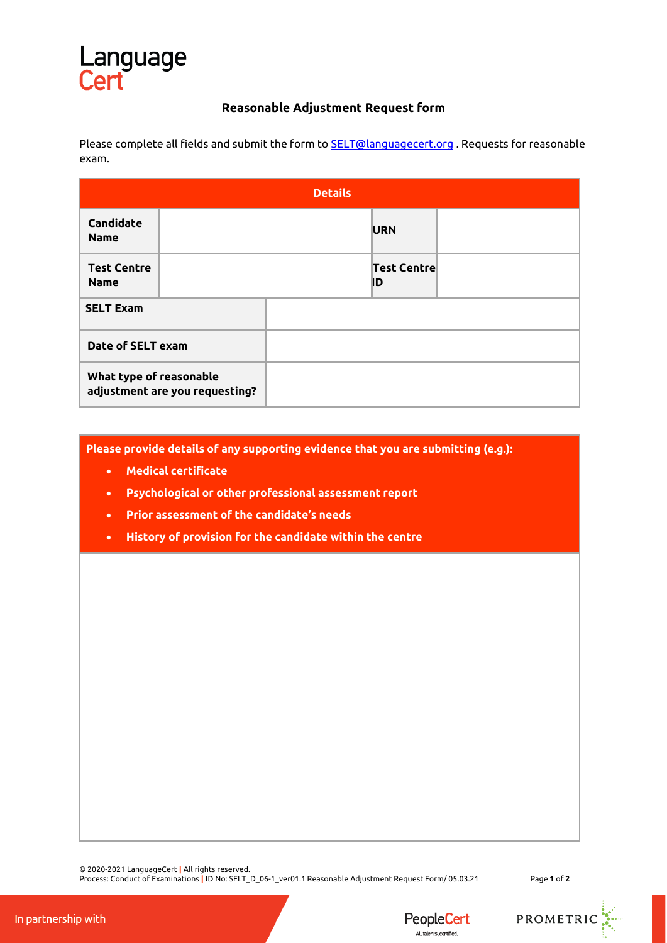## Language

## **Reasonable Adjustment Request form**

Please complete all fields and submit the form t[o SELT@languagecert.org](mailto:SELT@languagecert.org) . Requests for reasonable exam.

| <b>Details</b>                                            |  |  |                          |  |
|-----------------------------------------------------------|--|--|--------------------------|--|
| <b>Candidate</b><br><b>Name</b>                           |  |  | <b>URN</b>               |  |
| <b>Test Centre</b><br><b>Name</b>                         |  |  | <b>Test Centre</b><br>ID |  |
| <b>SELT Exam</b>                                          |  |  |                          |  |
| Date of SELT exam                                         |  |  |                          |  |
| What type of reasonable<br>adjustment are you requesting? |  |  |                          |  |

**Please provide details of any supporting evidence that you are submitting (e.g.):**

- **Medical certificate**
- **Psychological or other professional assessment report**
- **Prior assessment of the candidate's needs**
- **History of provision for the candidate within the centre**

© 2020-2021 LanguageCert **|** All rights reserved.

Process: Conduct of Examinations **|** ID No: SELT\_D\_06-1\_ver01.1 Reasonable Adjustment Request Form/ 05.03.21 Page **1** of **2**

PROMETRIC